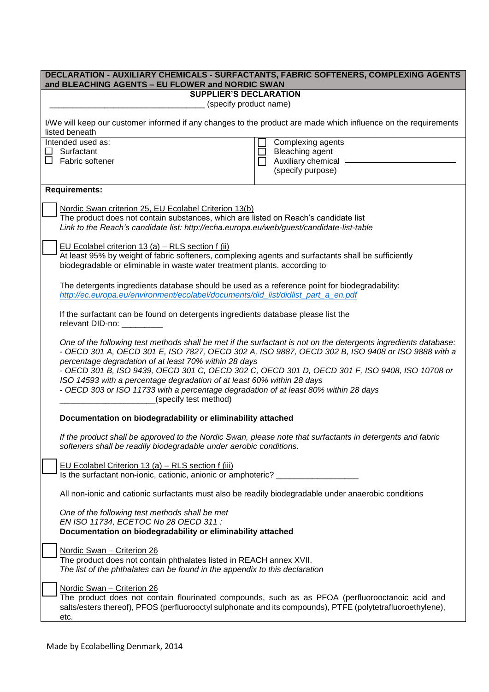| DECLARATION - AUXILIARY CHEMICALS - SURFACTANTS, FABRIC SOFTENERS, COMPLEXING AGENTS<br>and BLEACHING AGENTS - EU FLOWER and NORDIC SWAN                                                                             |                                              |  |
|----------------------------------------------------------------------------------------------------------------------------------------------------------------------------------------------------------------------|----------------------------------------------|--|
| <b>SUPPLIER'S DECLARATION</b>                                                                                                                                                                                        |                                              |  |
| (specify product name)                                                                                                                                                                                               |                                              |  |
| I/We will keep our customer informed if any changes to the product are made which influence on the requirements<br>listed beneath                                                                                    |                                              |  |
| Intended used as:                                                                                                                                                                                                    | Complexing agents                            |  |
| $\square$ Surfactant                                                                                                                                                                                                 | <b>Bleaching agent</b>                       |  |
| $\Box$ Fabric softener                                                                                                                                                                                               | Auxiliary chemical ____<br>(specify purpose) |  |
|                                                                                                                                                                                                                      |                                              |  |
| <b>Requirements:</b>                                                                                                                                                                                                 |                                              |  |
| Nordic Swan criterion 25, EU Ecolabel Criterion 13(b)                                                                                                                                                                |                                              |  |
| The product does not contain substances, which are listed on Reach's candidate list                                                                                                                                  |                                              |  |
| Link to the Reach's candidate list: http://echa.europa.eu/web/guest/candidate-list-table                                                                                                                             |                                              |  |
| EU Ecolabel criterion 13 (a) - RLS section $f (ii)$                                                                                                                                                                  |                                              |  |
| At least 95% by weight of fabric softeners, complexing agents and surfactants shall be sufficiently                                                                                                                  |                                              |  |
| biodegradable or eliminable in waste water treatment plants. according to                                                                                                                                            |                                              |  |
| The detergents ingredients database should be used as a reference point for biodegradability:                                                                                                                        |                                              |  |
| http://ec.europa.eu/environment/ecolabel/documents/did_list/didlist_part_a_en.pdf                                                                                                                                    |                                              |  |
|                                                                                                                                                                                                                      |                                              |  |
| If the surfactant can be found on detergents ingredients database please list the<br>relevant DID-no: _________                                                                                                      |                                              |  |
|                                                                                                                                                                                                                      |                                              |  |
| One of the following test methods shall be met if the surfactant is not on the detergents ingredients database:<br>- OECD 301 A, OECD 301 E, ISO 7827, OECD 302 A, ISO 9887, OECD 302 B, ISO 9408 or ISO 9888 with a |                                              |  |
| percentage degradation of at least 70% within 28 days                                                                                                                                                                |                                              |  |
| - OECD 301 B, ISO 9439, OECD 301 C, OECD 302 C, OECD 301 D, OECD 301 F, ISO 9408, ISO 10708 or                                                                                                                       |                                              |  |
| ISO 14593 with a percentage degradation of at least 60% within 28 days                                                                                                                                               |                                              |  |
| - OECD 303 or ISO 11733 with a percentage degradation of at least 80% within 28 days                                                                                                                                 |                                              |  |
| (specify test method)                                                                                                                                                                                                |                                              |  |
| Documentation on biodegradability or eliminability attached                                                                                                                                                          |                                              |  |
| If the product shall be approved to the Nordic Swan, please note that surfactants in detergents and fabric                                                                                                           |                                              |  |
| softeners shall be readily biodegradable under aerobic conditions.                                                                                                                                                   |                                              |  |
| EU Ecolabel Criterion 13 (a) - RLS section f (iii)                                                                                                                                                                   |                                              |  |
| Is the surfactant non-ionic, cationic, anionic or amphoteric?                                                                                                                                                        |                                              |  |
| All non-ionic and cationic surfactants must also be readily biodegradable under anaerobic conditions                                                                                                                 |                                              |  |
|                                                                                                                                                                                                                      |                                              |  |
| One of the following test methods shall be met<br>EN ISO 11734, ECETOC No 28 OECD 311 :                                                                                                                              |                                              |  |
| Documentation on biodegradability or eliminability attached                                                                                                                                                          |                                              |  |
|                                                                                                                                                                                                                      |                                              |  |
| Nordic Swan - Criterion 26<br>The product does not contain phthalates listed in REACH annex XVII.                                                                                                                    |                                              |  |
| The list of the phthalates can be found in the appendix to this declaration                                                                                                                                          |                                              |  |
|                                                                                                                                                                                                                      |                                              |  |
| Nordic Swan - Criterion 26<br>The product does not contain flourinated compounds, such as as PFOA (perfluorooctanoic acid and                                                                                        |                                              |  |
| salts/esters thereof), PFOS (perfluorooctyl sulphonate and its compounds), PTFE (polytetrafluoroethylene),                                                                                                           |                                              |  |
| etc.                                                                                                                                                                                                                 |                                              |  |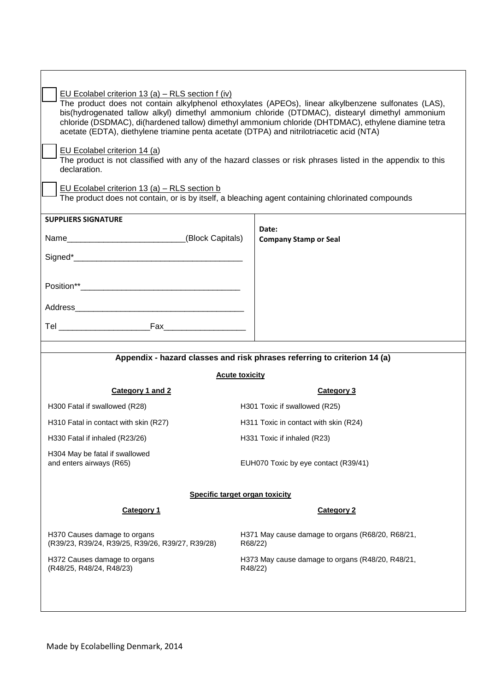| EU Ecolabel criterion 13 (a) – RLS section $f (iv)$<br>The product does not contain alkylphenol ethoxylates (APEOs), linear alkylbenzene sulfonates (LAS),<br>bis(hydrogenated tallow alkyl) dimethyl ammonium chloride (DTDMAC), distearyl dimethyl ammonium<br>chloride (DSDMAC), di(hardened tallow) dimethyl ammonium chloride (DHTDMAC), ethylene diamine tetra<br>acetate (EDTA), diethylene triamine penta acetate (DTPA) and nitrilotriacetic acid (NTA)<br>EU Ecolabel criterion 14 (a)<br>The product is not classified with any of the hazard classes or risk phrases listed in the appendix to this<br>declaration.<br>EU Ecolabel criterion $13(a)$ – RLS section b<br>The product does not contain, or is by itself, a bleaching agent containing chlorinated compounds |  |                                                             |  |
|---------------------------------------------------------------------------------------------------------------------------------------------------------------------------------------------------------------------------------------------------------------------------------------------------------------------------------------------------------------------------------------------------------------------------------------------------------------------------------------------------------------------------------------------------------------------------------------------------------------------------------------------------------------------------------------------------------------------------------------------------------------------------------------|--|-------------------------------------------------------------|--|
| <b>SUPPLIERS SIGNATURE</b>                                                                                                                                                                                                                                                                                                                                                                                                                                                                                                                                                                                                                                                                                                                                                            |  |                                                             |  |
| Name______________________________(Block Capitals)                                                                                                                                                                                                                                                                                                                                                                                                                                                                                                                                                                                                                                                                                                                                    |  | Date:<br><b>Company Stamp or Seal</b>                       |  |
|                                                                                                                                                                                                                                                                                                                                                                                                                                                                                                                                                                                                                                                                                                                                                                                       |  |                                                             |  |
|                                                                                                                                                                                                                                                                                                                                                                                                                                                                                                                                                                                                                                                                                                                                                                                       |  |                                                             |  |
|                                                                                                                                                                                                                                                                                                                                                                                                                                                                                                                                                                                                                                                                                                                                                                                       |  |                                                             |  |
| Tel Fax                                                                                                                                                                                                                                                                                                                                                                                                                                                                                                                                                                                                                                                                                                                                                                               |  |                                                             |  |
| Appendix - hazard classes and risk phrases referring to criterion 14 (a)                                                                                                                                                                                                                                                                                                                                                                                                                                                                                                                                                                                                                                                                                                              |  |                                                             |  |
| <b>Acute toxicity</b>                                                                                                                                                                                                                                                                                                                                                                                                                                                                                                                                                                                                                                                                                                                                                                 |  |                                                             |  |
| Category 1 and 2                                                                                                                                                                                                                                                                                                                                                                                                                                                                                                                                                                                                                                                                                                                                                                      |  | Category 3                                                  |  |
| H300 Fatal if swallowed (R28)                                                                                                                                                                                                                                                                                                                                                                                                                                                                                                                                                                                                                                                                                                                                                         |  | H301 Toxic if swallowed (R25)                               |  |
| H310 Fatal in contact with skin (R27)                                                                                                                                                                                                                                                                                                                                                                                                                                                                                                                                                                                                                                                                                                                                                 |  | H311 Toxic in contact with skin (R24)                       |  |
| H330 Fatal if inhaled (R23/26)                                                                                                                                                                                                                                                                                                                                                                                                                                                                                                                                                                                                                                                                                                                                                        |  | H331 Toxic if inhaled (R23)                                 |  |
| H304 May be fatal if swallowed<br>and enters airways (R65)                                                                                                                                                                                                                                                                                                                                                                                                                                                                                                                                                                                                                                                                                                                            |  | EUH070 Toxic by eye contact (R39/41)                        |  |
| Specific target organ toxicity                                                                                                                                                                                                                                                                                                                                                                                                                                                                                                                                                                                                                                                                                                                                                        |  |                                                             |  |
| <b>Category 1</b>                                                                                                                                                                                                                                                                                                                                                                                                                                                                                                                                                                                                                                                                                                                                                                     |  | <b>Category 2</b>                                           |  |
| H370 Causes damage to organs<br>(R39/23, R39/24, R39/25, R39/26, R39/27, R39/28)                                                                                                                                                                                                                                                                                                                                                                                                                                                                                                                                                                                                                                                                                                      |  | H371 May cause damage to organs (R68/20, R68/21,<br>R68/22) |  |
| H372 Causes damage to organs<br>(R48/25, R48/24, R48/23)                                                                                                                                                                                                                                                                                                                                                                                                                                                                                                                                                                                                                                                                                                                              |  | H373 May cause damage to organs (R48/20, R48/21,<br>R48/22) |  |
|                                                                                                                                                                                                                                                                                                                                                                                                                                                                                                                                                                                                                                                                                                                                                                                       |  |                                                             |  |